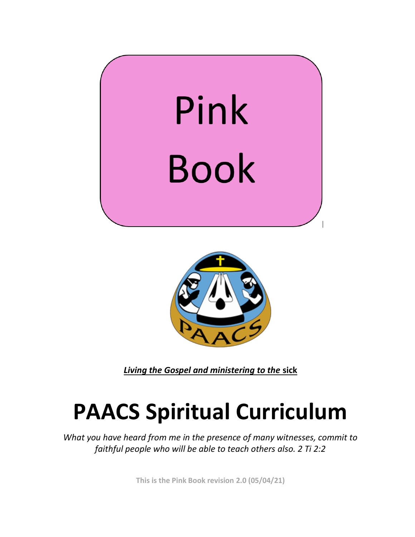



*Living the Gospel and ministering to the* **sick** 

## **PAACS Spiritual Curriculum**

*What you have heard from me in the presence of many witnesses, commit to faithful people who will be able to teach others also. 2 Ti 2:2* 

**This is the Pink Book revision 2.0 (05/04/21)**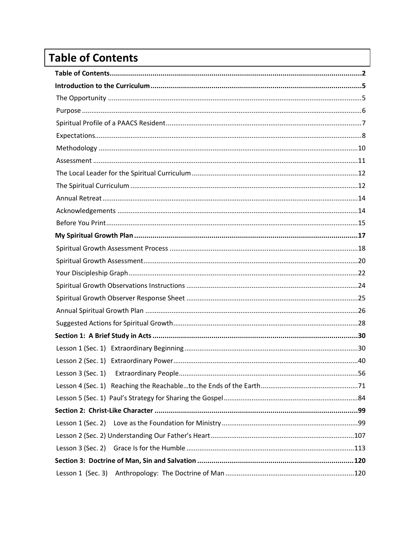## <span id="page-1-0"></span>**Table of Contents**

| Lesson 3 (Sec. 1) |  |  |
|-------------------|--|--|
|                   |  |  |
|                   |  |  |
|                   |  |  |
|                   |  |  |
|                   |  |  |
|                   |  |  |
|                   |  |  |
| Lesson 1 (Sec. 3) |  |  |